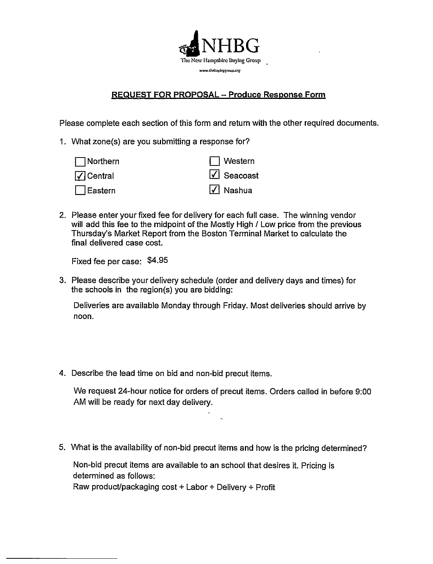

## **REQUEST FOR PROPOSAL - Produce Response Form**

Please complete each section of this form and return with the other required documents.

1. What zone(s) are you submitting a response for?

| $\Box$ Northern   | $\Box$ Western                |
|-------------------|-------------------------------|
| $\sqrt{}$ Central | $\sqrt{\phantom{a}}$ Seacoast |
| $\Box$ Eastern    | $\sqrt{ }$ Nashua             |

2. Please enter your fixed fee for delivery for each full case. The winning vendor will add this fee to the midpoint of the Mostly High / Low price from the previous Thursday's Market Report from the Boston Terminal Market to calculate the final delivered case cost.

Fixed fee per case: \$4.95

3. Please describe your delivery schedule (order and delivery days and times) for the schools in the region(s) you are bidding:

Deliveries are available Monday through Friday. Most deliveries should arrive by noon.

4. Describe the lead time on bid and non-bid precut items.

We request 24-hour notice for orders of precut items. Orders called in before 9:00 AM will be ready for next day delivery.

5. What is the availability of non-bid precut items and how is the pricing determined?

Non-bid precut items are available to an school that desires it. Pricing is determined as follows:

Raw product/packaging cost + Labor + Delivery + Profit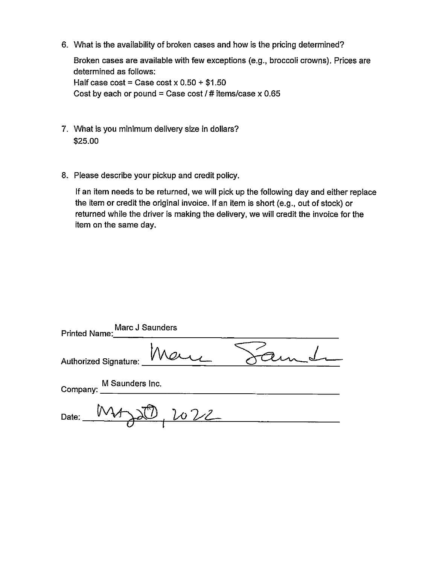6. What is the availability of broken cases and how is the pricing determined?

Broken cases are available with few exceptions (e.g., broccoli crowns). Prices are determined as follows: Half case  $cost = Case cost \times 0.50 + $1.50$ Cost by each or pound = Case cost / # items/case  $x$  0.65

- 7. What is you minimum delivery size in dollars? \$25.00
- 8. Please describe your pickup and credit policy.

If an item needs to be returned, we will pick up the following day and either replace the item or credit the original invoice. If an item is short (e.g., out of stock) or returned while the driver is making the delivery, we will credit the invoice for the item on the same day.

| Marc J Saunders<br>Printed Name:   |  |
|------------------------------------|--|
| Authorized Signature: <u>Maure</u> |  |
| M Saunders Inc.<br>Company:        |  |
| Date: MAJS 022                     |  |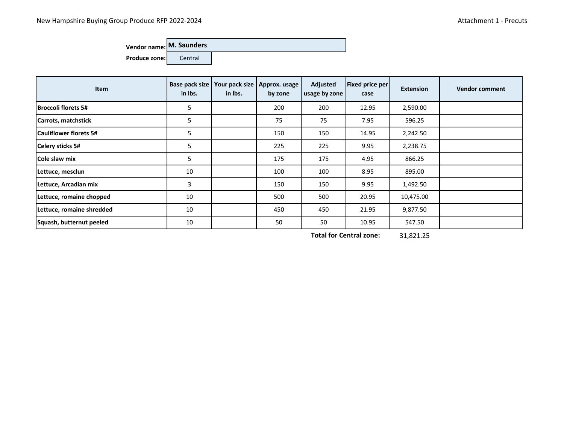## **Vendor name: M. Saunders**

**Produce zone:** Central

| <b>Item</b>                   | Base pack size<br>in Ibs. | in Ibs. | Your pack size   Approx. usage<br>by zone | Adjusted<br>usage by zone | <b>Fixed price per</b><br>case | <b>Extension</b> | <b>Vendor comment</b> |
|-------------------------------|---------------------------|---------|-------------------------------------------|---------------------------|--------------------------------|------------------|-----------------------|
| <b>Broccoli florets 5#</b>    | 5                         |         | 200                                       | 200                       | 12.95                          | 2,590.00         |                       |
| Carrots, matchstick           | 5                         |         | 75                                        | 75                        | 7.95                           | 596.25           |                       |
| <b>Cauliflower florets 5#</b> | 5                         |         | 150                                       | 150                       | 14.95                          | 2,242.50         |                       |
| Celery sticks 5#              | 5                         |         | 225                                       | 225                       | 9.95                           | 2,238.75         |                       |
| Cole slaw mix                 | 5                         |         | 175                                       | 175                       | 4.95                           | 866.25           |                       |
| Lettuce, mesclun              | 10                        |         | 100                                       | 100                       | 8.95                           | 895.00           |                       |
| Lettuce, Arcadian mix         | 3                         |         | 150                                       | 150                       | 9.95                           | 1,492.50         |                       |
| Lettuce, romaine chopped      | 10                        |         | 500                                       | 500                       | 20.95                          | 10,475.00        |                       |
| Lettuce, romaine shredded     | 10                        |         | 450                                       | 450                       | 21.95                          | 9,877.50         |                       |
| Squash, butternut peeled      | 10                        |         | 50                                        | 50                        | 10.95                          | 547.50           |                       |

31,821.25 **Total for Central zone:**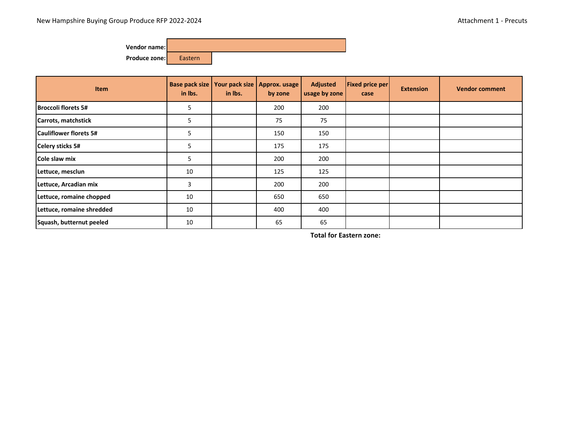

| <b>Item</b>                   | in Ibs. | Base pack size   Your pack size  <br>in Ibs. | Approx. usage<br>by zone | <b>Adjusted</b><br>usage by zone | <b>Fixed price per</b><br>case | <b>Extension</b> | <b>Vendor comment</b> |
|-------------------------------|---------|----------------------------------------------|--------------------------|----------------------------------|--------------------------------|------------------|-----------------------|
| <b>Broccoli florets 5#</b>    | 5       |                                              | 200                      | 200                              |                                |                  |                       |
| Carrots, matchstick           | 5       |                                              | 75                       | 75                               |                                |                  |                       |
| <b>Cauliflower florets 5#</b> | 5       |                                              | 150                      | 150                              |                                |                  |                       |
| <b>Celery sticks 5#</b>       | 5       |                                              | 175                      | 175                              |                                |                  |                       |
| Cole slaw mix                 | 5       |                                              | 200                      | 200                              |                                |                  |                       |
| Lettuce, mesclun              | 10      |                                              | 125                      | 125                              |                                |                  |                       |
| Lettuce, Arcadian mix         | 3       |                                              | 200                      | 200                              |                                |                  |                       |
| Lettuce, romaine chopped      | 10      |                                              | 650                      | 650                              |                                |                  |                       |
| Lettuce, romaine shredded     | 10      |                                              | 400                      | 400                              |                                |                  |                       |
| Squash, butternut peeled      | 10      |                                              | 65                       | 65                               |                                |                  |                       |

**Total for Eastern zone:**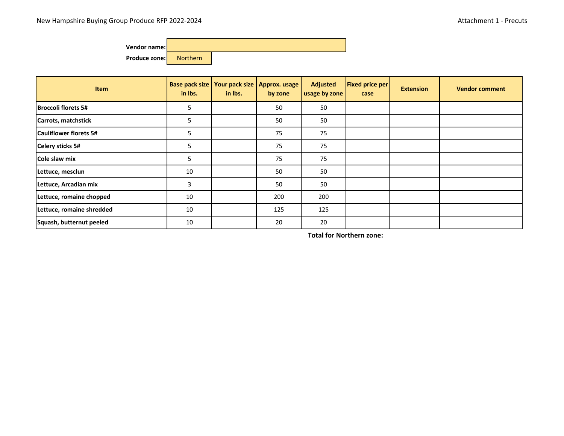

| <b>Item</b>                   | Base pack size<br>in Ibs. | in Ibs. | Your pack size   Approx. usage<br>by zone | <b>Adjusted</b><br>usage by zone | <b>Fixed price per</b><br>case | <b>Extension</b> | <b>Vendor comment</b> |
|-------------------------------|---------------------------|---------|-------------------------------------------|----------------------------------|--------------------------------|------------------|-----------------------|
| <b>Broccoli florets 5#</b>    | 5                         |         | 50                                        | 50                               |                                |                  |                       |
| Carrots, matchstick           | 5                         |         | 50                                        | 50                               |                                |                  |                       |
| <b>Cauliflower florets 5#</b> | 5                         |         | 75                                        | 75                               |                                |                  |                       |
| <b>Celery sticks 5#</b>       | 5                         |         | 75                                        | 75                               |                                |                  |                       |
| Cole slaw mix                 | 5                         |         | 75                                        | 75                               |                                |                  |                       |
| Lettuce, mesclun              | 10                        |         | 50                                        | 50                               |                                |                  |                       |
| Lettuce, Arcadian mix         | 3                         |         | 50                                        | 50                               |                                |                  |                       |
| Lettuce, romaine chopped      | 10                        |         | 200                                       | 200                              |                                |                  |                       |
| Lettuce, romaine shredded     | 10                        |         | 125                                       | 125                              |                                |                  |                       |
| Squash, butternut peeled      | 10                        |         | 20                                        | 20                               |                                |                  |                       |

**Total for Northern zone:**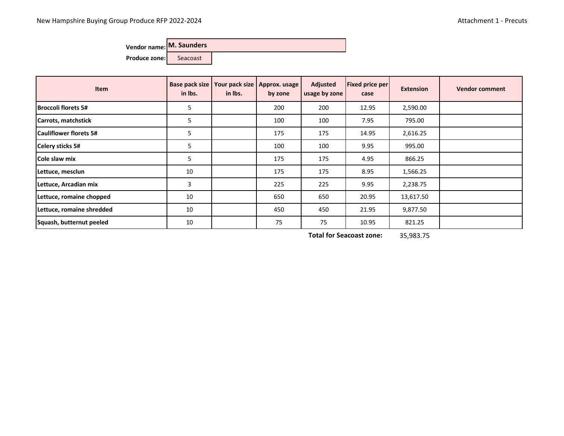|  | Vendor name: M. Saunders |  |  |
|--|--------------------------|--|--|
|--|--------------------------|--|--|

Produce zone: Seacoast

| Item                          | in Ibs. | Base pack size   Your pack size  <br>in lbs. | Approx. usage<br>by zone | <b>Adjusted</b><br>usage by zone | <b>Fixed price per</b><br>case | <b>Extension</b> | <b>Vendor comment</b> |
|-------------------------------|---------|----------------------------------------------|--------------------------|----------------------------------|--------------------------------|------------------|-----------------------|
| <b>Broccoli florets 5#</b>    | 5       |                                              | 200                      | 200                              | 12.95                          | 2,590.00         |                       |
| Carrots, matchstick           | 5       |                                              | 100                      | 100                              | 7.95                           | 795.00           |                       |
| <b>Cauliflower florets 5#</b> | 5       |                                              | 175                      | 175                              | 14.95                          | 2,616.25         |                       |
| Celery sticks 5#              | 5       |                                              | 100                      | 100                              | 9.95                           | 995.00           |                       |
| Cole slaw mix                 | 5       |                                              | 175                      | 175                              | 4.95                           | 866.25           |                       |
| Lettuce, mesclun              | 10      |                                              | 175                      | 175                              | 8.95                           | 1,566.25         |                       |
| Lettuce, Arcadian mix         | 3       |                                              | 225                      | 225                              | 9.95                           | 2,238.75         |                       |
| Lettuce, romaine chopped      | 10      |                                              | 650                      | 650                              | 20.95                          | 13,617.50        |                       |
| Lettuce, romaine shredded     | 10      |                                              | 450                      | 450                              | 21.95                          | 9,877.50         |                       |
| Squash, butternut peeled      | 10      |                                              | 75                       | 75                               | 10.95                          | 821.25           |                       |

35,983.75 **Total for Seacoast zone:**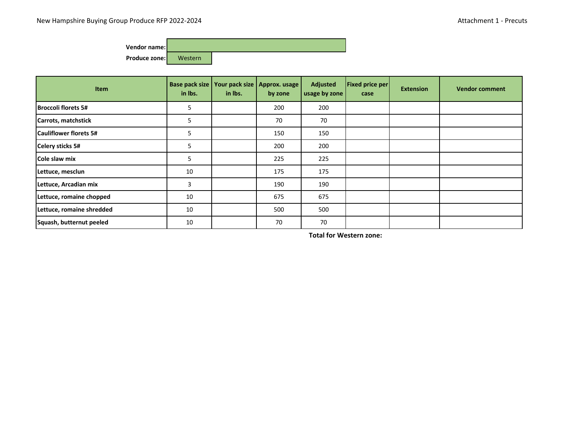

| Item                          | in lbs. | Base pack size   Your pack size  <br>in Ibs. | Approx. usage<br>by zone | <b>Adjusted</b><br>usage by zone | <b>Fixed price per</b><br>case | <b>Extension</b> | <b>Vendor comment</b> |
|-------------------------------|---------|----------------------------------------------|--------------------------|----------------------------------|--------------------------------|------------------|-----------------------|
| <b>Broccoli florets 5#</b>    | 5       |                                              | 200                      | 200                              |                                |                  |                       |
| Carrots, matchstick           | 5       |                                              | 70                       | 70                               |                                |                  |                       |
| <b>Cauliflower florets 5#</b> | 5       |                                              | 150                      | 150                              |                                |                  |                       |
| <b>Celery sticks 5#</b>       | 5       |                                              | 200                      | 200                              |                                |                  |                       |
| Cole slaw mix                 | 5       |                                              | 225                      | 225                              |                                |                  |                       |
| Lettuce, mesclun              | 10      |                                              | 175                      | 175                              |                                |                  |                       |
| Lettuce, Arcadian mix         | 3       |                                              | 190                      | 190                              |                                |                  |                       |
| Lettuce, romaine chopped      | 10      |                                              | 675                      | 675                              |                                |                  |                       |
| Lettuce, romaine shredded     | 10      |                                              | 500                      | 500                              |                                |                  |                       |
| Squash, butternut peeled      | 10      |                                              | 70                       | 70                               |                                |                  |                       |

**Total for Western zone:**